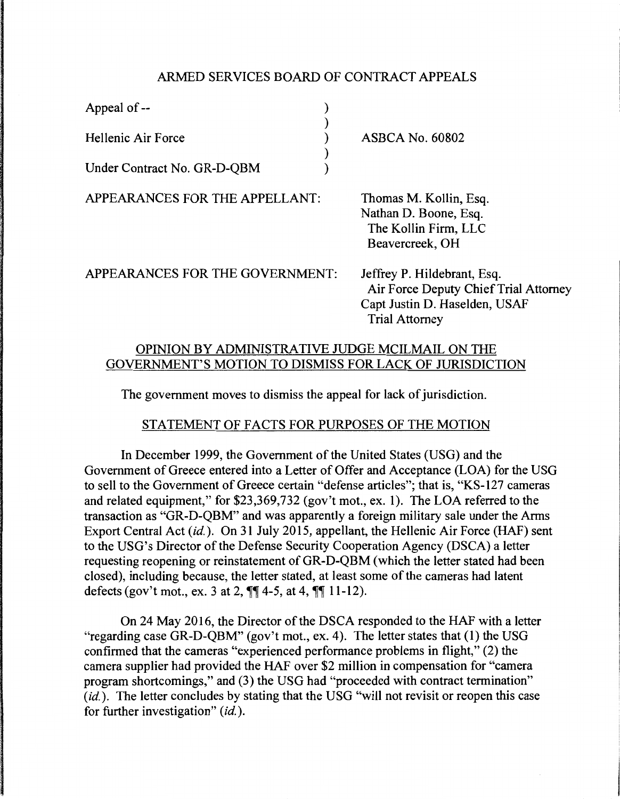#### ARMED SERVICES BOARD OF CONTRACT APPEALS

| Appeal of $-$               |                        |
|-----------------------------|------------------------|
| Hellenic Air Force          | <b>ASBCA No. 60802</b> |
| Under Contract No. GR-D-QBM |                        |

APPEARANCES FOR THE APPELLANT:

Thomas M. Kollin, Esq. Nathan D. Boone, Esq. The Kollin Firm, LLC Beavercreek, OH

APPEARANCES FOR THE GOVERNMENT:

Jeffrey P. Hildebrant, Esq. Air Force Deputy Chief Trial Attorney Capt Justin D. Haselden, USAF Trial Attorney

# OPINION BY ADMINISTRATIVE JUDGE MCILMAIL ON THE GOVERNMENT'S MOTION TO DISMISS FOR LACK OF JURISDICTION

The government moves to dismiss the appeal for lack of jurisdiction.

# STATEMENT OF FACTS FOR PURPOSES OF THE MOTION

In December 1999, the Government of the United States (USG) and the Government of Greece entered into a Letter of Offer and Acceptance (LOA) for the USG to sell to the Government of Greece certain "defense articles"; that is, "KS-127 cameras and related equipment," for \$23,369,732 (gov't mot., ex. 1). The LOA referred to the transaction as "GR-D-QBM" and was apparently a foreign military sale under the Arms Export Central Act *(id.).* On 31 July 2015, appellant, the Hellenic Air Force (HAF) sent to the USG's Director of the Defense Security Cooperation Agency (DSCA) a letter requesting reopening or reinstatement of GR-D-QBM (which the letter stated had been closed), including because, the letter stated, at least some of the cameras had latent defects (gov't mot., ex. 3 at 2,  $\P\P$  4-5, at 4,  $\P$  $\P$  11-12).

On 24 May 2016, the Director of the DSCA responded to the HAF with a letter "regarding case GR-D-QBM" (gov't mot., ex. 4). The letter states that (1) the USG confirmed that the cameras "experienced performance problems in flight," (2) the camera supplier had provided the HAF over \$2 million in compensation for "camera program shortcomings," and (3) the USG had "proceeded with contract termination" (id.). The letter concludes by stating that the USG "will not revisit or reopen this case for further investigation" *(id.).*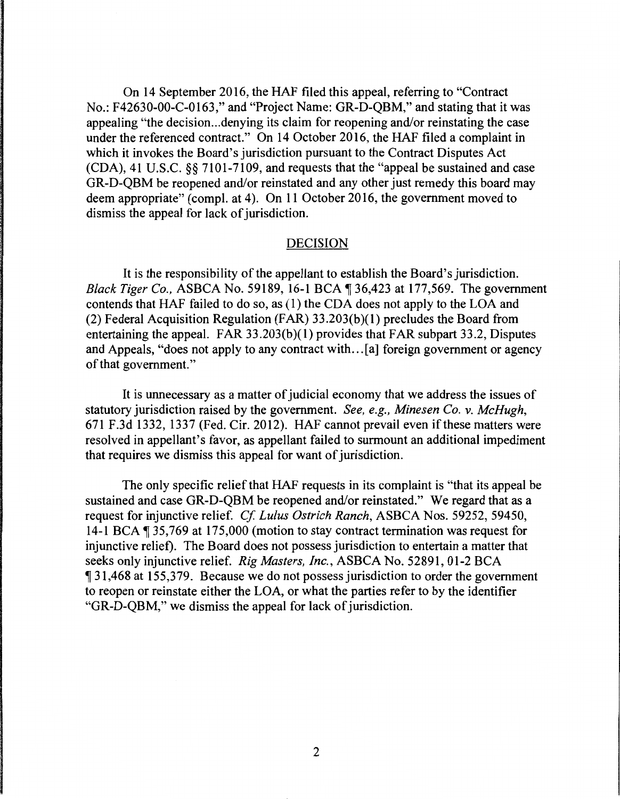On 14 September 2016, the HAF filed this appeal, referring to "Contract No.: F42630-00-C-0163," and "Project Name: GR-D-QBM," and stating that it was appealing "the decision ... denying its claim for reopening and/or reinstating the case under the referenced contract." On 14 October 2016, the HAF filed a complaint in which it invokes the Board's jurisdiction pursuant to the Contract Disputes Act (CDA), 41 U.S.C. §§ 7101-7109, and requests that the "appeal be sustained and case GR-D-QBM be reopened and/or reinstated and any other just remedy this board may deem appropriate" (compl. at 4). On 11 October 2016, the government moved to dismiss the appeal for lack of jurisdiction.

#### DECISION

It is the responsibility of the appellant to establish the Board's jurisdiction. *Black Tiger Co., ASBCA No.* 59189, 16-1 BCA ¶ 36,423 at 177,569. The government contends that HAF failed to do so, as ( 1) the CDA does not apply to the LOA and (2) Federal Acquisition Regulation (FAR) 33.203(b)(l) precludes the Board from entertaining the appeal. FAR  $33.203(b)(1)$  provides that FAR subpart 33.2, Disputes and Appeals, "does not apply to any contract with ... [a] foreign government or agency of that government."

It is unnecessary as a matter of judicial economy that we address the issues of statutory jurisdiction raised by the government. *See, e.g., Minesen Co. v. McHugh,*  671 F.3d 1332, 1337 (Fed. Cir. 2012). HAF cannot prevail even if these matters were resolved in appellant's favor, as appellant failed to surmount an additional impediment that requires we dismiss this appeal for want of jurisdiction.

The only specific relief that HAF requests in its complaint is "that its appeal be sustained and case GR-D-QBM be reopened and/or reinstated." We regard that as a request for injunctive relief. *Cf Lulus Ostrich Ranch,* ASBCA Nos. 59252, 59450, 14-1 BCA ¶ 35,769 at 175,000 (motion to stay contract termination was request for injunctive relief). The Board does not possess jurisdiction to entertain a matter that seeks only injunctive relief. *Rig Masters, Inc.,* ASBCA No. 52891, 01-2 BCA if 31,468 at 155,379. Because we do not possess jurisdiction to order the government to reopen or reinstate either the LOA, or what the parties refer to by the identifier "GR-D-QBM," we dismiss the appeal for lack of jurisdiction.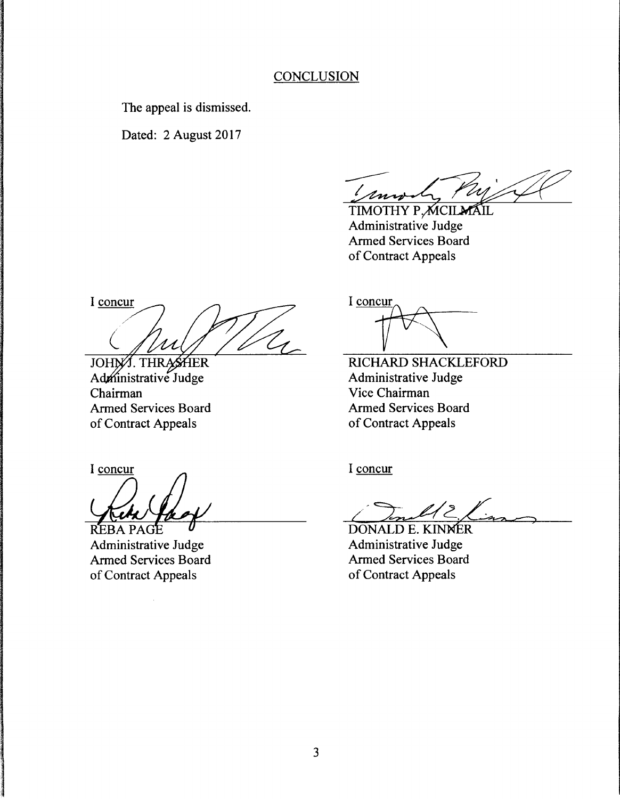### **CONCLUSION**

The appeal is dismissed.

Dated: 2 August 2017

Lennel Puj Cl

Armed Services Board of Contract Appeals

I concur

JOHN/J. THRASHER<br>Administrative Judge Chairman Armed Services Board of Contract Appeals

I concur

**REBA PAGE** 

Administrative Judge Armed Services Board of Contract Appeals

I concur

RICHARD SHACKLEFORD Administrative Judge Vice Chairman Armed Services Board of Contract Appeals

I concur

**DONALD E. KINNER** Administrative Judge **Armed Services Board** of Contract Appeals